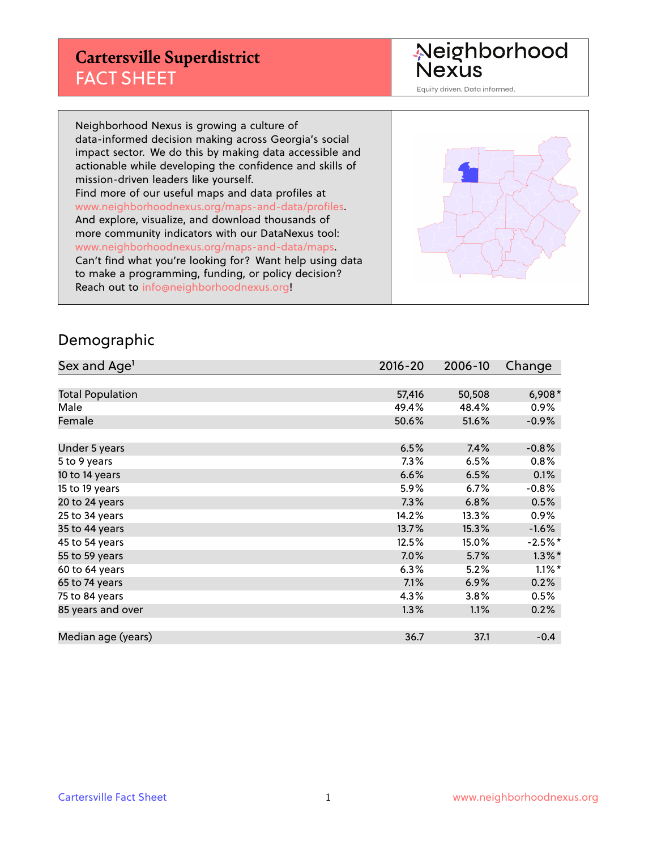#### **Cartersville Superdistrict** FACT SHEET

Neighborhood<br>Nexus

Equity driven. Data informed.

Neighborhood Nexus is growing a culture of data-informed decision making across Georgia's social impact sector. We do this by making data accessible and actionable while developing the confidence and skills of mission-driven leaders like yourself. Find more of our useful maps and data profiles at www.neighborhoodnexus.org/maps-and-data/profiles. And explore, visualize, and download thousands of more community indicators with our DataNexus tool: www.neighborhoodnexus.org/maps-and-data/maps. Can't find what you're looking for? Want help using data to make a programming, funding, or policy decision? Reach out to [info@neighborhoodnexus.org!](mailto:info@neighborhoodnexus.org)



#### Demographic

| Sex and Age <sup>1</sup> | $2016 - 20$ | 2006-10 | Change    |
|--------------------------|-------------|---------|-----------|
|                          |             |         |           |
| <b>Total Population</b>  | 57,416      | 50,508  | $6,908*$  |
| Male                     | 49.4%       | 48.4%   | 0.9%      |
| Female                   | 50.6%       | 51.6%   | $-0.9\%$  |
|                          |             |         |           |
| Under 5 years            | 6.5%        | 7.4%    | $-0.8%$   |
| 5 to 9 years             | 7.3%        | 6.5%    | 0.8%      |
| 10 to 14 years           | 6.6%        | 6.5%    | 0.1%      |
| 15 to 19 years           | 5.9%        | 6.7%    | $-0.8%$   |
| 20 to 24 years           | 7.3%        | 6.8%    | 0.5%      |
| 25 to 34 years           | 14.2%       | 13.3%   | $0.9\%$   |
| 35 to 44 years           | 13.7%       | 15.3%   | $-1.6%$   |
| 45 to 54 years           | 12.5%       | 15.0%   | $-2.5%$ * |
| 55 to 59 years           | 7.0%        | 5.7%    | $1.3\%$ * |
| 60 to 64 years           | 6.3%        | 5.2%    | $1.1\%$ * |
| 65 to 74 years           | 7.1%        | 6.9%    | 0.2%      |
| 75 to 84 years           | $4.3\%$     | 3.8%    | 0.5%      |
| 85 years and over        | 1.3%        | 1.1%    | 0.2%      |
|                          |             |         |           |
| Median age (years)       | 36.7        | 37.1    | $-0.4$    |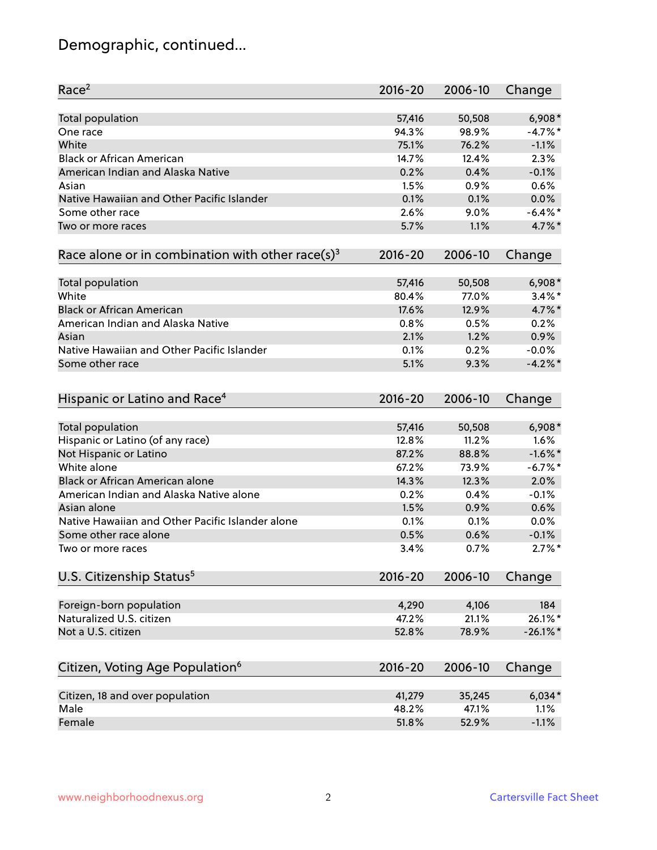# Demographic, continued...

| Race <sup>2</sup>                                            | $2016 - 20$ | 2006-10 | Change      |
|--------------------------------------------------------------|-------------|---------|-------------|
| <b>Total population</b>                                      | 57,416      | 50,508  | $6,908*$    |
| One race                                                     | 94.3%       | 98.9%   | $-4.7%$ *   |
| White                                                        | 75.1%       | 76.2%   | $-1.1%$     |
| <b>Black or African American</b>                             | 14.7%       | 12.4%   | 2.3%        |
| American Indian and Alaska Native                            | 0.2%        | 0.4%    | $-0.1%$     |
| Asian                                                        | 1.5%        | 0.9%    | 0.6%        |
| Native Hawaiian and Other Pacific Islander                   | 0.1%        | 0.1%    | 0.0%        |
| Some other race                                              | 2.6%        | 9.0%    | $-6.4\%$ *  |
| Two or more races                                            | 5.7%        | 1.1%    | 4.7%*       |
| Race alone or in combination with other race(s) <sup>3</sup> | $2016 - 20$ | 2006-10 | Change      |
| Total population                                             | 57,416      | 50,508  | $6,908*$    |
| White                                                        | 80.4%       | 77.0%   | $3.4\%$ *   |
| <b>Black or African American</b>                             | 17.6%       | 12.9%   | 4.7%*       |
| American Indian and Alaska Native                            | 0.8%        | 0.5%    | 0.2%        |
| Asian                                                        | 2.1%        | 1.2%    | 0.9%        |
| Native Hawaiian and Other Pacific Islander                   | 0.1%        | 0.2%    | $-0.0%$     |
| Some other race                                              | 5.1%        | 9.3%    | $-4.2%$     |
| Hispanic or Latino and Race <sup>4</sup>                     | $2016 - 20$ | 2006-10 | Change      |
| <b>Total population</b>                                      | 57,416      | 50,508  | $6,908*$    |
| Hispanic or Latino (of any race)                             | 12.8%       | 11.2%   | 1.6%        |
| Not Hispanic or Latino                                       | 87.2%       | 88.8%   | $-1.6\%$ *  |
| White alone                                                  | 67.2%       | 73.9%   | $-6.7%$ *   |
| <b>Black or African American alone</b>                       | 14.3%       | 12.3%   | 2.0%        |
| American Indian and Alaska Native alone                      | 0.2%        | 0.4%    | $-0.1%$     |
| Asian alone                                                  | 1.5%        | 0.9%    | 0.6%        |
| Native Hawaiian and Other Pacific Islander alone             | 0.1%        | 0.1%    | 0.0%        |
| Some other race alone                                        | 0.5%        | 0.6%    | $-0.1%$     |
| Two or more races                                            | 3.4%        | 0.7%    | $2.7\%$ *   |
| U.S. Citizenship Status <sup>5</sup>                         | $2016 - 20$ | 2006-10 | Change      |
| Foreign-born population                                      | 4,290       | 4,106   | 184         |
| Naturalized U.S. citizen                                     | 47.2%       | 21.1%   | 26.1%*      |
| Not a U.S. citizen                                           | 52.8%       | 78.9%   | $-26.1\%$ * |
| Citizen, Voting Age Population <sup>6</sup>                  | $2016 - 20$ | 2006-10 | Change      |
|                                                              |             |         |             |
| Citizen, 18 and over population                              | 41,279      | 35,245  | $6,034*$    |
| Male                                                         | 48.2%       | 47.1%   | 1.1%        |
| Female                                                       | 51.8%       | 52.9%   | $-1.1%$     |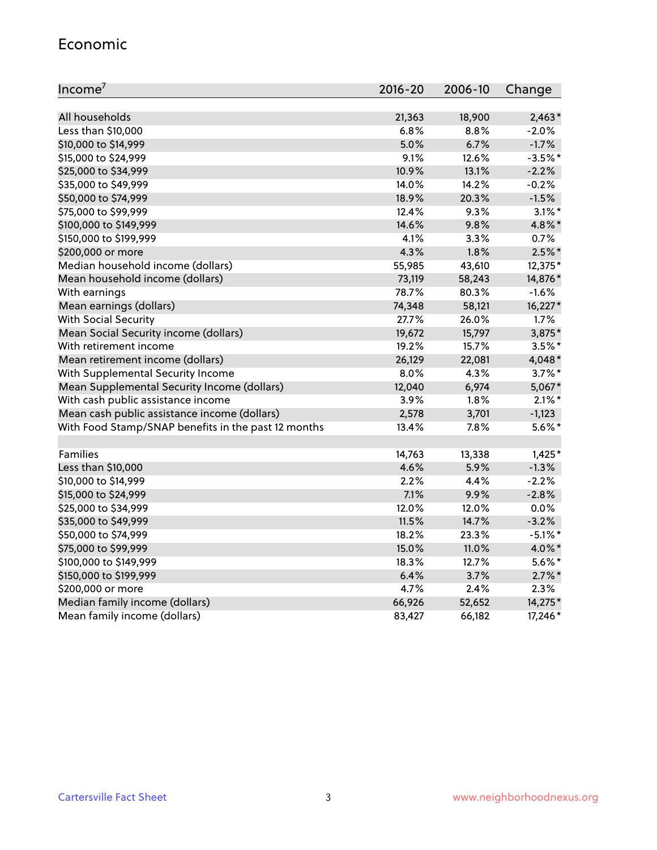#### Economic

| Income <sup>7</sup>                                 | $2016 - 20$ | 2006-10 | Change     |
|-----------------------------------------------------|-------------|---------|------------|
|                                                     |             |         |            |
| All households                                      | 21,363      | 18,900  | $2,463*$   |
| Less than \$10,000                                  | 6.8%        | 8.8%    | $-2.0%$    |
| \$10,000 to \$14,999                                | 5.0%        | 6.7%    | $-1.7%$    |
| \$15,000 to \$24,999                                | 9.1%        | 12.6%   | $-3.5%$ *  |
| \$25,000 to \$34,999                                | 10.9%       | 13.1%   | $-2.2%$    |
| \$35,000 to \$49,999                                | 14.0%       | 14.2%   | $-0.2%$    |
| \$50,000 to \$74,999                                | 18.9%       | 20.3%   | $-1.5%$    |
| \$75,000 to \$99,999                                | 12.4%       | 9.3%    | $3.1\%$ *  |
| \$100,000 to \$149,999                              | 14.6%       | 9.8%    | 4.8%*      |
| \$150,000 to \$199,999                              | 4.1%        | 3.3%    | 0.7%       |
| \$200,000 or more                                   | 4.3%        | 1.8%    | $2.5\%$ *  |
| Median household income (dollars)                   | 55,985      | 43,610  | 12,375*    |
| Mean household income (dollars)                     | 73,119      | 58,243  | 14,876*    |
| With earnings                                       | 78.7%       | 80.3%   | $-1.6%$    |
| Mean earnings (dollars)                             | 74,348      | 58,121  | 16,227*    |
| <b>With Social Security</b>                         | 27.7%       | 26.0%   | 1.7%       |
| Mean Social Security income (dollars)               | 19,672      | 15,797  | 3,875*     |
| With retirement income                              | 19.2%       | 15.7%   | $3.5\%$ *  |
| Mean retirement income (dollars)                    | 26,129      | 22,081  | 4,048*     |
| With Supplemental Security Income                   | 8.0%        | 4.3%    | $3.7\%$ *  |
| Mean Supplemental Security Income (dollars)         | 12,040      | 6,974   | 5,067*     |
| With cash public assistance income                  | 3.9%        | 1.8%    | $2.1\%$ *  |
| Mean cash public assistance income (dollars)        | 2,578       | 3,701   | $-1,123$   |
| With Food Stamp/SNAP benefits in the past 12 months | 13.4%       | 7.8%    | $5.6\%$ *  |
|                                                     |             |         |            |
| Families                                            | 14,763      | 13,338  | $1,425*$   |
| Less than \$10,000                                  | 4.6%        | 5.9%    | $-1.3%$    |
| \$10,000 to \$14,999                                | 2.2%        | 4.4%    | $-2.2%$    |
| \$15,000 to \$24,999                                | 7.1%        | 9.9%    | $-2.8%$    |
| \$25,000 to \$34,999                                | 12.0%       | 12.0%   | 0.0%       |
| \$35,000 to \$49,999                                | 11.5%       | 14.7%   | $-3.2%$    |
| \$50,000 to \$74,999                                | 18.2%       | 23.3%   | $-5.1\%$ * |
| \$75,000 to \$99,999                                | 15.0%       | 11.0%   | 4.0%*      |
| \$100,000 to \$149,999                              | 18.3%       | 12.7%   | $5.6\%*$   |
| \$150,000 to \$199,999                              | 6.4%        | 3.7%    | $2.7\%$ *  |
| \$200,000 or more                                   | 4.7%        | 2.4%    | 2.3%       |
| Median family income (dollars)                      | 66,926      | 52,652  | 14,275*    |
| Mean family income (dollars)                        | 83,427      | 66,182  | 17,246 *   |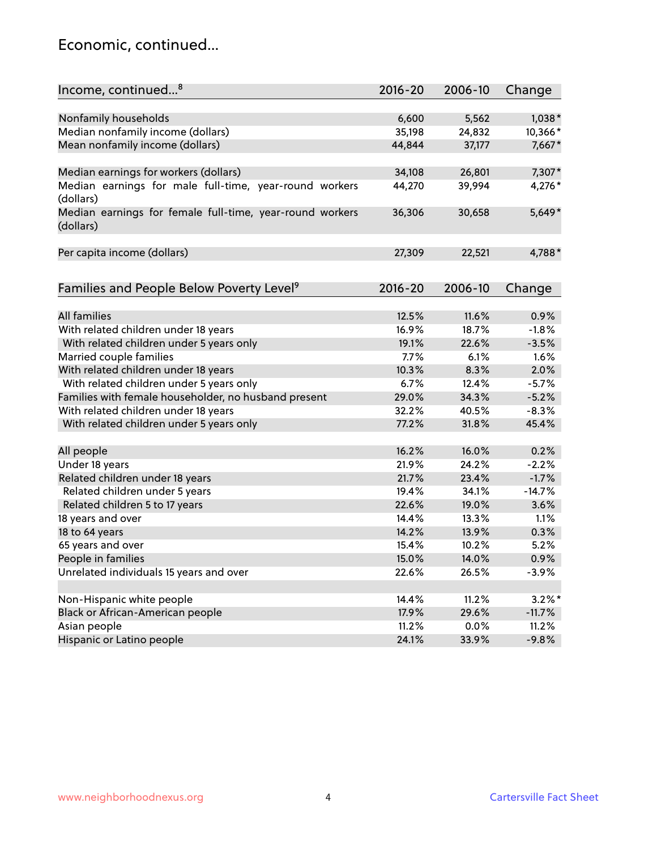#### Economic, continued...

| Income, continued <sup>8</sup>                                        | $2016 - 20$ | 2006-10 | Change    |
|-----------------------------------------------------------------------|-------------|---------|-----------|
|                                                                       |             |         |           |
| Nonfamily households                                                  | 6,600       | 5,562   | 1,038*    |
| Median nonfamily income (dollars)                                     | 35,198      | 24,832  | 10,366*   |
| Mean nonfamily income (dollars)                                       | 44,844      | 37,177  | 7,667*    |
|                                                                       |             |         |           |
| Median earnings for workers (dollars)                                 | 34,108      | 26,801  | 7,307*    |
| Median earnings for male full-time, year-round workers<br>(dollars)   | 44,270      | 39,994  | 4,276*    |
| Median earnings for female full-time, year-round workers<br>(dollars) | 36,306      | 30,658  | $5,649*$  |
| Per capita income (dollars)                                           | 27,309      | 22,521  | 4,788*    |
|                                                                       |             |         |           |
| Families and People Below Poverty Level <sup>9</sup>                  | $2016 - 20$ | 2006-10 | Change    |
| All families                                                          | 12.5%       | 11.6%   | 0.9%      |
| With related children under 18 years                                  | 16.9%       | 18.7%   | $-1.8%$   |
| With related children under 5 years only                              | 19.1%       | 22.6%   | $-3.5%$   |
| Married couple families                                               | 7.7%        | 6.1%    | 1.6%      |
| With related children under 18 years                                  | 10.3%       | 8.3%    | 2.0%      |
| With related children under 5 years only                              | 6.7%        | 12.4%   | $-5.7%$   |
| Families with female householder, no husband present                  | 29.0%       | 34.3%   | $-5.2%$   |
| With related children under 18 years                                  | 32.2%       | 40.5%   | $-8.3%$   |
| With related children under 5 years only                              | 77.2%       | 31.8%   | 45.4%     |
|                                                                       |             |         |           |
| All people                                                            | 16.2%       | 16.0%   | 0.2%      |
| Under 18 years                                                        | 21.9%       | 24.2%   | $-2.2%$   |
| Related children under 18 years                                       | 21.7%       | 23.4%   | $-1.7%$   |
| Related children under 5 years                                        | 19.4%       | 34.1%   | $-14.7%$  |
| Related children 5 to 17 years                                        | 22.6%       | 19.0%   | 3.6%      |
| 18 years and over                                                     | 14.4%       | 13.3%   | 1.1%      |
| 18 to 64 years                                                        | 14.2%       | 13.9%   | 0.3%      |
| 65 years and over                                                     | 15.4%       | 10.2%   | 5.2%      |
| People in families                                                    | 15.0%       | 14.0%   | 0.9%      |
| Unrelated individuals 15 years and over                               | 22.6%       | 26.5%   | $-3.9%$   |
|                                                                       |             |         |           |
| Non-Hispanic white people                                             | 14.4%       | 11.2%   | $3.2\%$ * |
| Black or African-American people                                      | 17.9%       | 29.6%   | $-11.7%$  |
| Asian people                                                          | 11.2%       | 0.0%    | 11.2%     |
| Hispanic or Latino people                                             | 24.1%       | 33.9%   | $-9.8%$   |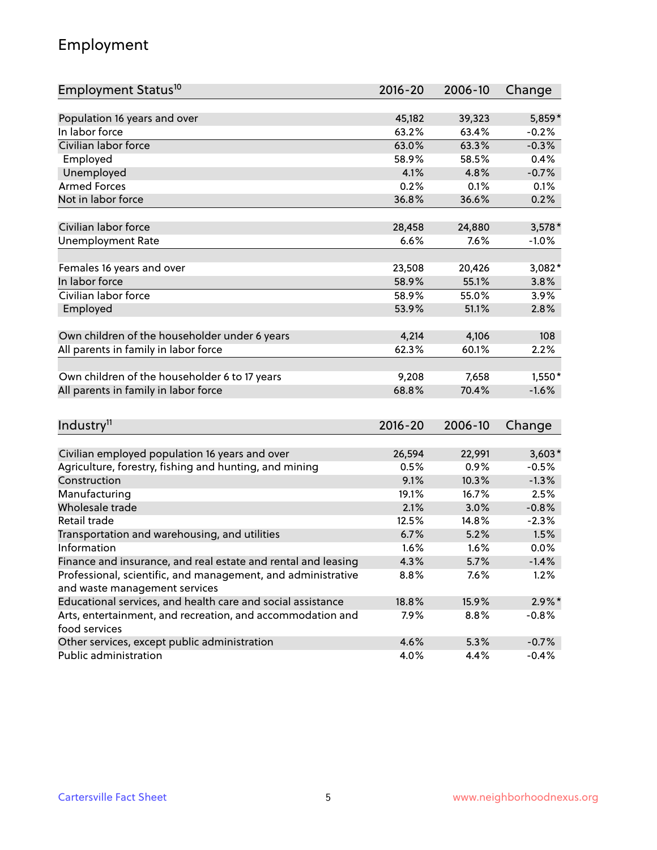## Employment

| Employment Status <sup>10</sup>                                             | $2016 - 20$ | 2006-10 | Change    |
|-----------------------------------------------------------------------------|-------------|---------|-----------|
|                                                                             |             |         |           |
| Population 16 years and over                                                | 45,182      | 39,323  | 5,859*    |
| In labor force                                                              | 63.2%       | 63.4%   | $-0.2%$   |
| Civilian labor force                                                        | 63.0%       | 63.3%   | $-0.3%$   |
| Employed                                                                    | 58.9%       | 58.5%   | 0.4%      |
| Unemployed                                                                  | 4.1%        | 4.8%    | $-0.7%$   |
| <b>Armed Forces</b>                                                         | 0.2%        | 0.1%    | 0.1%      |
| Not in labor force                                                          | 36.8%       | 36.6%   | 0.2%      |
|                                                                             |             |         |           |
| Civilian labor force                                                        | 28,458      | 24,880  | $3,578*$  |
| <b>Unemployment Rate</b>                                                    | 6.6%        | 7.6%    | $-1.0%$   |
| Females 16 years and over                                                   | 23,508      | 20,426  | 3,082*    |
| In labor force                                                              | 58.9%       | 55.1%   | 3.8%      |
| Civilian labor force                                                        | 58.9%       | 55.0%   | 3.9%      |
| Employed                                                                    | 53.9%       | 51.1%   | 2.8%      |
|                                                                             |             |         |           |
| Own children of the householder under 6 years                               | 4,214       | 4,106   | 108       |
| All parents in family in labor force                                        | 62.3%       | 60.1%   | 2.2%      |
|                                                                             |             |         |           |
| Own children of the householder 6 to 17 years                               | 9,208       | 7,658   | $1,550*$  |
| All parents in family in labor force                                        | 68.8%       | 70.4%   | $-1.6%$   |
|                                                                             |             |         |           |
| Industry <sup>11</sup>                                                      | $2016 - 20$ | 2006-10 | Change    |
|                                                                             |             |         |           |
| Civilian employed population 16 years and over                              | 26,594      | 22,991  | $3,603*$  |
| Agriculture, forestry, fishing and hunting, and mining                      | 0.5%        | 0.9%    | $-0.5%$   |
| Construction                                                                | 9.1%        | 10.3%   | $-1.3%$   |
| Manufacturing                                                               | 19.1%       | 16.7%   | 2.5%      |
| Wholesale trade                                                             | 2.1%        | 3.0%    | $-0.8%$   |
| Retail trade                                                                | 12.5%       | 14.8%   | $-2.3%$   |
| Transportation and warehousing, and utilities                               | 6.7%        | 5.2%    | 1.5%      |
| Information                                                                 | 1.6%        | 1.6%    | 0.0%      |
| Finance and insurance, and real estate and rental and leasing               | 4.3%        | 5.7%    | $-1.4%$   |
| Professional, scientific, and management, and administrative                | 8.8%        | 7.6%    | 1.2%      |
| and waste management services                                               |             |         |           |
| Educational services, and health care and social assistance                 | 18.8%       | 15.9%   | $2.9\%$ * |
| Arts, entertainment, and recreation, and accommodation and<br>food services | 7.9%        | 8.8%    | $-0.8%$   |
| Other services, except public administration                                | 4.6%        | 5.3%    | $-0.7%$   |
| Public administration                                                       | 4.0%        | 4.4%    | $-0.4%$   |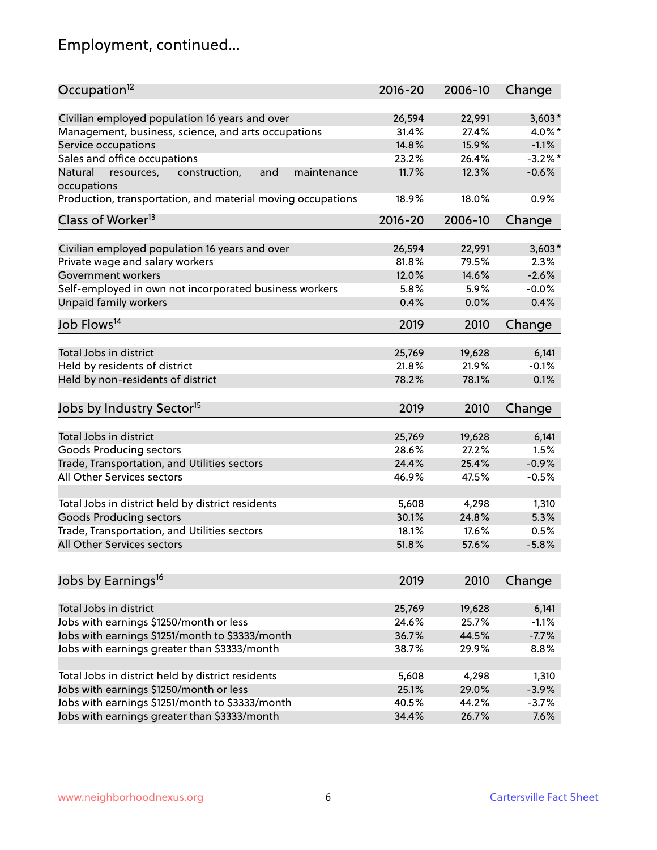# Employment, continued...

| Occupation <sup>12</sup>                                                                   | $2016 - 20$ | 2006-10 | Change     |
|--------------------------------------------------------------------------------------------|-------------|---------|------------|
| Civilian employed population 16 years and over                                             | 26,594      | 22,991  | $3,603*$   |
| Management, business, science, and arts occupations                                        | 31.4%       | 27.4%   | 4.0%*      |
| Service occupations                                                                        | 14.8%       | 15.9%   | $-1.1%$    |
| Sales and office occupations                                                               | 23.2%       | 26.4%   | $-3.2\%$ * |
| Natural<br>resources,<br>and<br>construction,<br>maintenance                               | 11.7%       | 12.3%   | $-0.6%$    |
| occupations                                                                                |             |         |            |
| Production, transportation, and material moving occupations                                | 18.9%       | 18.0%   | 0.9%       |
| Class of Worker <sup>13</sup>                                                              | $2016 - 20$ | 2006-10 | Change     |
|                                                                                            |             |         |            |
| Civilian employed population 16 years and over                                             | 26,594      | 22,991  | $3,603*$   |
| Private wage and salary workers                                                            | 81.8%       | 79.5%   | 2.3%       |
| Government workers                                                                         | 12.0%       | 14.6%   | $-2.6%$    |
| Self-employed in own not incorporated business workers                                     | 5.8%        | 5.9%    | $-0.0%$    |
| Unpaid family workers                                                                      | 0.4%        | 0.0%    | 0.4%       |
| Job Flows <sup>14</sup>                                                                    | 2019        | 2010    | Change     |
|                                                                                            |             |         |            |
| Total Jobs in district                                                                     | 25,769      | 19,628  | 6,141      |
| Held by residents of district                                                              | 21.8%       | 21.9%   | $-0.1%$    |
| Held by non-residents of district                                                          | 78.2%       | 78.1%   | 0.1%       |
| Jobs by Industry Sector <sup>15</sup>                                                      | 2019        | 2010    | Change     |
|                                                                                            |             |         |            |
| Total Jobs in district                                                                     | 25,769      | 19,628  | 6,141      |
| Goods Producing sectors                                                                    | 28.6%       | 27.2%   | 1.5%       |
| Trade, Transportation, and Utilities sectors                                               | 24.4%       | 25.4%   | $-0.9%$    |
| All Other Services sectors                                                                 | 46.9%       | 47.5%   | $-0.5%$    |
| Total Jobs in district held by district residents                                          | 5,608       | 4,298   | 1,310      |
| <b>Goods Producing sectors</b>                                                             | 30.1%       | 24.8%   | 5.3%       |
| Trade, Transportation, and Utilities sectors                                               | 18.1%       | 17.6%   | 0.5%       |
| All Other Services sectors                                                                 | 51.8%       | 57.6%   | $-5.8%$    |
|                                                                                            |             |         |            |
| Jobs by Earnings <sup>16</sup>                                                             | 2019        | 2010    | Change     |
| Total Jobs in district                                                                     | 25,769      | 19,628  | 6,141      |
|                                                                                            | 24.6%       | 25.7%   | $-1.1%$    |
| Jobs with earnings \$1250/month or less<br>Jobs with earnings \$1251/month to \$3333/month | 36.7%       | 44.5%   | $-7.7%$    |
|                                                                                            |             |         |            |
| Jobs with earnings greater than \$3333/month                                               | 38.7%       | 29.9%   | 8.8%       |
| Total Jobs in district held by district residents                                          | 5,608       | 4,298   | 1,310      |
| Jobs with earnings \$1250/month or less                                                    | 25.1%       | 29.0%   | $-3.9%$    |
| Jobs with earnings \$1251/month to \$3333/month                                            | 40.5%       | 44.2%   | $-3.7%$    |
| Jobs with earnings greater than \$3333/month                                               | 34.4%       | 26.7%   | 7.6%       |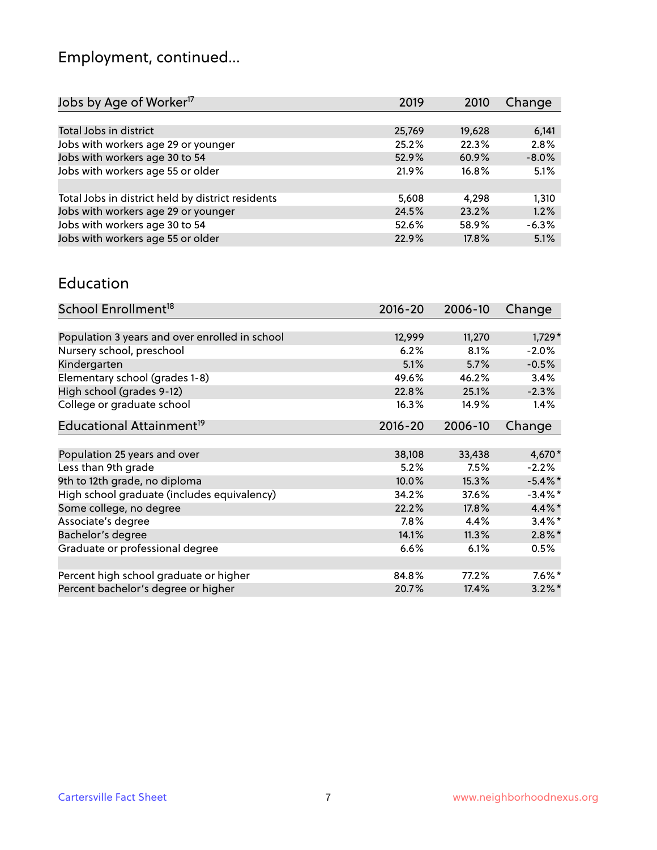# Employment, continued...

| Jobs by Age of Worker <sup>17</sup>               | 2019   | 2010   | Change  |
|---------------------------------------------------|--------|--------|---------|
|                                                   |        |        |         |
| Total Jobs in district                            | 25,769 | 19,628 | 6,141   |
| Jobs with workers age 29 or younger               | 25.2%  | 22.3%  | 2.8%    |
| Jobs with workers age 30 to 54                    | 52.9%  | 60.9%  | $-8.0%$ |
| Jobs with workers age 55 or older                 | 21.9%  | 16.8%  | 5.1%    |
|                                                   |        |        |         |
| Total Jobs in district held by district residents | 5,608  | 4.298  | 1,310   |
| Jobs with workers age 29 or younger               | 24.5%  | 23.2%  | 1.2%    |
| Jobs with workers age 30 to 54                    | 52.6%  | 58.9%  | $-6.3%$ |
| Jobs with workers age 55 or older                 | 22.9%  | 17.8%  | 5.1%    |
|                                                   |        |        |         |

#### Education

| School Enrollment <sup>18</sup>                | $2016 - 20$ | 2006-10 | Change     |
|------------------------------------------------|-------------|---------|------------|
|                                                |             |         |            |
| Population 3 years and over enrolled in school | 12,999      | 11,270  | $1,729*$   |
| Nursery school, preschool                      | 6.2%        | 8.1%    | $-2.0%$    |
| Kindergarten                                   | 5.1%        | 5.7%    | $-0.5%$    |
| Elementary school (grades 1-8)                 | 49.6%       | 46.2%   | 3.4%       |
| High school (grades 9-12)                      | 22.8%       | 25.1%   | $-2.3%$    |
| College or graduate school                     | 16.3%       | 14.9%   | 1.4%       |
| Educational Attainment <sup>19</sup>           | $2016 - 20$ | 2006-10 | Change     |
|                                                |             |         |            |
| Population 25 years and over                   | 38,108      | 33,438  | 4,670*     |
| Less than 9th grade                            | 5.2%        | 7.5%    | $-2.2%$    |
| 9th to 12th grade, no diploma                  | 10.0%       | 15.3%   | $-5.4\%$ * |
| High school graduate (includes equivalency)    | 34.2%       | 37.6%   | $-3.4\%$ * |
| Some college, no degree                        | 22.2%       | 17.8%   | 4.4%*      |
| Associate's degree                             | 7.8%        | 4.4%    | $3.4\%$ *  |
| Bachelor's degree                              | 14.1%       | 11.3%   | $2.8\%$ *  |
| Graduate or professional degree                | 6.6%        | 6.1%    | 0.5%       |
|                                                |             |         |            |
| Percent high school graduate or higher         | 84.8%       | 77.2%   | $7.6\%$ *  |
| Percent bachelor's degree or higher            | 20.7%       | 17.4%   | $3.2\%$ *  |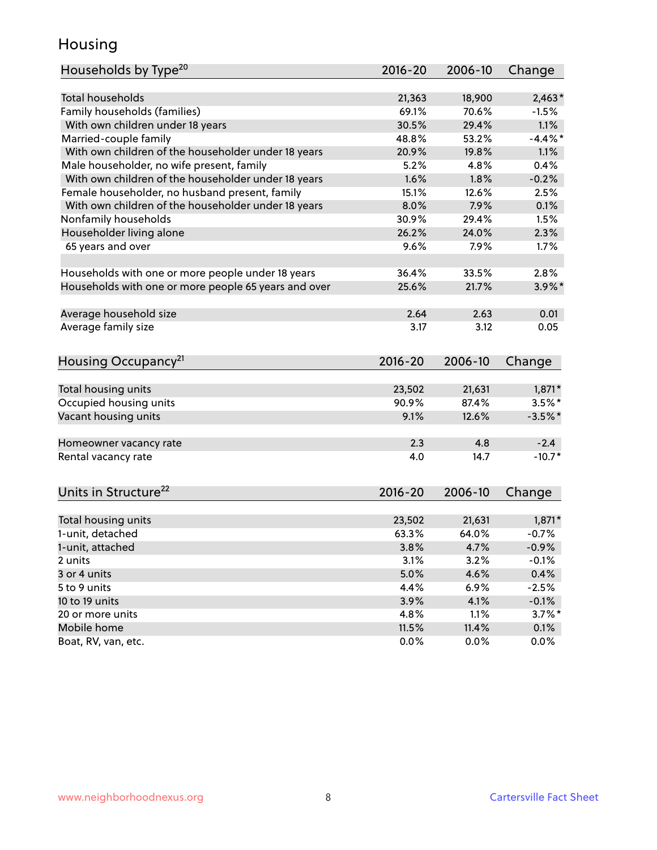## Housing

| Households by Type <sup>20</sup>                     | 2016-20         | 2006-10         | Change              |
|------------------------------------------------------|-----------------|-----------------|---------------------|
|                                                      |                 |                 |                     |
| <b>Total households</b>                              | 21,363          | 18,900          | $2,463*$            |
| Family households (families)                         | 69.1%           | 70.6%           | $-1.5%$             |
| With own children under 18 years                     | 30.5%           | 29.4%           | 1.1%                |
| Married-couple family                                | 48.8%           | 53.2%           | $-4.4\%$ *          |
| With own children of the householder under 18 years  | 20.9%           | 19.8%           | 1.1%                |
| Male householder, no wife present, family            | 5.2%            | 4.8%            | 0.4%                |
| With own children of the householder under 18 years  | 1.6%            | 1.8%            | $-0.2%$             |
| Female householder, no husband present, family       | 15.1%           | 12.6%           | 2.5%                |
| With own children of the householder under 18 years  | 8.0%            | 7.9%            | 0.1%                |
| Nonfamily households                                 | 30.9%           | 29.4%           | 1.5%                |
| Householder living alone                             | 26.2%           | 24.0%           | 2.3%                |
| 65 years and over                                    | 9.6%            | 7.9%            | 1.7%                |
|                                                      |                 |                 |                     |
| Households with one or more people under 18 years    | 36.4%           | 33.5%           | 2.8%                |
| Households with one or more people 65 years and over | 25.6%           | 21.7%           | $3.9\%$ *           |
|                                                      |                 |                 |                     |
| Average household size                               | 2.64            | 2.63            | 0.01                |
| Average family size                                  | 3.17            | 3.12            | 0.05                |
|                                                      |                 |                 |                     |
| Housing Occupancy <sup>21</sup>                      | $2016 - 20$     | 2006-10         | Change              |
|                                                      |                 |                 |                     |
| Total housing units                                  | 23,502          | 21,631          | $1,871*$            |
| Occupied housing units                               | 90.9%           | 87.4%           | $3.5%$ *            |
| Vacant housing units                                 | 9.1%            | 12.6%           | $-3.5%$ *           |
| Homeowner vacancy rate                               | 2.3             | 4.8             | $-2.4$              |
| Rental vacancy rate                                  | 4.0             | 14.7            | $-10.7*$            |
|                                                      |                 |                 |                     |
| Units in Structure <sup>22</sup>                     | $2016 - 20$     | 2006-10         | Change              |
|                                                      |                 |                 |                     |
| Total housing units                                  | 23,502<br>63.3% | 21,631<br>64.0% | $1,871*$<br>$-0.7%$ |
| 1-unit, detached                                     |                 |                 |                     |
| 1-unit, attached                                     | 3.8%            | 4.7%            | $-0.9%$             |
| 2 units                                              | 3.1%            | 3.2%            | $-0.1%$             |
| 3 or 4 units                                         | 5.0%            | 4.6%            | 0.4%                |
| 5 to 9 units                                         | 4.4%            | 6.9%            | $-2.5%$             |
| 10 to 19 units                                       | 3.9%            | 4.1%            | $-0.1%$             |
| 20 or more units                                     | 4.8%            | 1.1%            | $3.7\%$ *           |
| Mobile home                                          | 11.5%           | 11.4%           | 0.1%                |
| Boat, RV, van, etc.                                  | 0.0%            | 0.0%            | 0.0%                |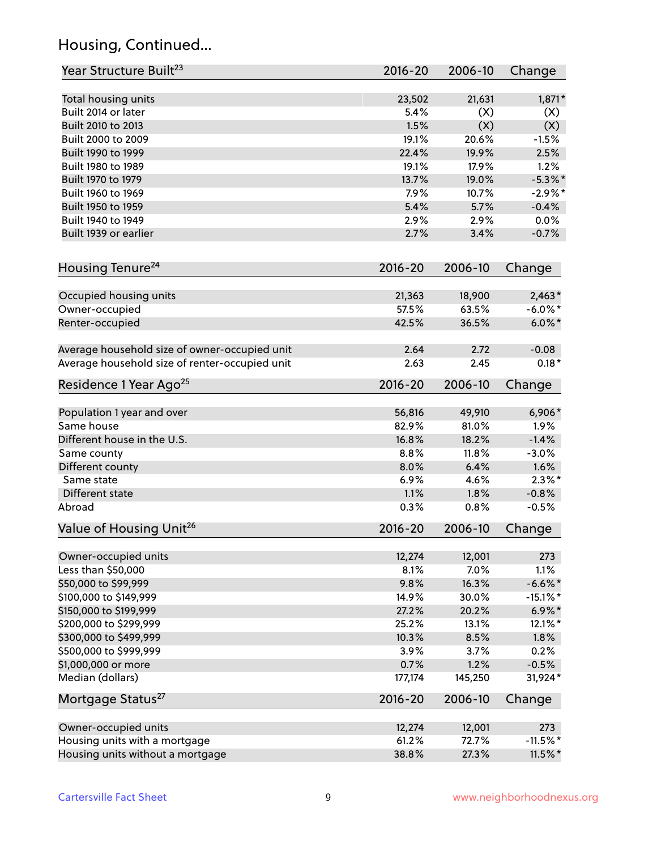## Housing, Continued...

| Year Structure Built <sup>23</sup>             | 2016-20     | 2006-10 | Change      |
|------------------------------------------------|-------------|---------|-------------|
| Total housing units                            | 23,502      | 21,631  | 1,871*      |
| Built 2014 or later                            | 5.4%        | (X)     | (X)         |
| Built 2010 to 2013                             | 1.5%        | (X)     | (X)         |
| Built 2000 to 2009                             | 19.1%       | 20.6%   | $-1.5%$     |
| Built 1990 to 1999                             | 22.4%       | 19.9%   | 2.5%        |
| Built 1980 to 1989                             | 19.1%       | 17.9%   | 1.2%        |
| Built 1970 to 1979                             | 13.7%       | 19.0%   | $-5.3\%$ *  |
| Built 1960 to 1969                             | 7.9%        | 10.7%   | $-2.9\%$ *  |
| Built 1950 to 1959                             | 5.4%        | 5.7%    | $-0.4%$     |
| Built 1940 to 1949                             | 2.9%        | 2.9%    | 0.0%        |
| Built 1939 or earlier                          | 2.7%        | 3.4%    | $-0.7%$     |
| Housing Tenure <sup>24</sup>                   | $2016 - 20$ | 2006-10 | Change      |
| Occupied housing units                         | 21,363      | 18,900  | $2,463*$    |
| Owner-occupied                                 | 57.5%       | 63.5%   | $-6.0\%$ *  |
| Renter-occupied                                | 42.5%       | 36.5%   | $6.0\%$ *   |
|                                                |             |         |             |
| Average household size of owner-occupied unit  | 2.64        | 2.72    | $-0.08$     |
| Average household size of renter-occupied unit | 2.63        | 2.45    | $0.18*$     |
| Residence 1 Year Ago <sup>25</sup>             | $2016 - 20$ | 2006-10 | Change      |
|                                                |             |         |             |
| Population 1 year and over                     | 56,816      | 49,910  | $6,906*$    |
| Same house                                     | 82.9%       | 81.0%   | 1.9%        |
| Different house in the U.S.                    | 16.8%       | 18.2%   | $-1.4%$     |
| Same county                                    | 8.8%        | 11.8%   | $-3.0%$     |
| Different county                               | 8.0%        | 6.4%    | 1.6%        |
| Same state                                     | 6.9%        | 4.6%    | $2.3\%$ *   |
| Different state                                | 1.1%        | 1.8%    | $-0.8%$     |
| Abroad                                         | 0.3%        | 0.8%    | $-0.5%$     |
| Value of Housing Unit <sup>26</sup>            | $2016 - 20$ | 2006-10 | Change      |
| Owner-occupied units                           | 12,274      | 12,001  | 273         |
| Less than \$50,000                             | 8.1%        | 7.0%    | 1.1%        |
| \$50,000 to \$99,999                           | 9.8%        | 16.3%   | $-6.6\%$ *  |
| \$100,000 to \$149,999                         | 14.9%       | 30.0%   | $-15.1\%$ * |
| \$150,000 to \$199,999                         | 27.2%       | 20.2%   | $6.9\%*$    |
| \$200,000 to \$299,999                         | 25.2%       | 13.1%   | 12.1%*      |
| \$300,000 to \$499,999                         | 10.3%       | 8.5%    | 1.8%        |
| \$500,000 to \$999,999                         | 3.9%        | 3.7%    | 0.2%        |
| \$1,000,000 or more                            | 0.7%        | 1.2%    | $-0.5%$     |
| Median (dollars)                               | 177,174     | 145,250 | $31,924*$   |
| Mortgage Status <sup>27</sup>                  | $2016 - 20$ | 2006-10 | Change      |
| Owner-occupied units                           | 12,274      | 12,001  | 273         |
| Housing units with a mortgage                  | 61.2%       | 72.7%   | $-11.5\%$ * |
| Housing units without a mortgage               | 38.8%       | 27.3%   | $11.5\%$ *  |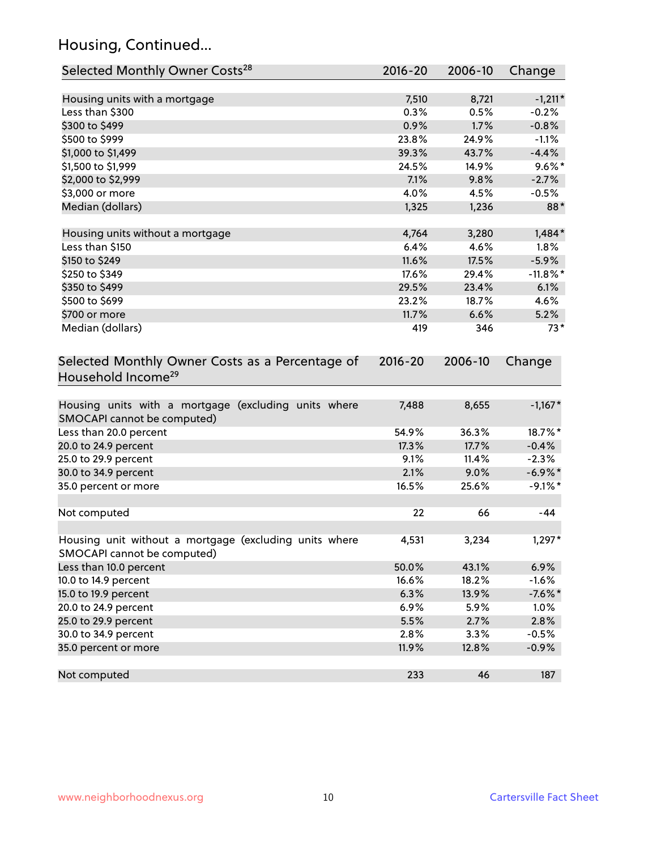## Housing, Continued...

| Selected Monthly Owner Costs <sup>28</sup>                                            | 2016-20     | 2006-10 | Change      |
|---------------------------------------------------------------------------------------|-------------|---------|-------------|
| Housing units with a mortgage                                                         | 7,510       | 8,721   | $-1,211*$   |
| Less than \$300                                                                       | 0.3%        | 0.5%    | $-0.2%$     |
| \$300 to \$499                                                                        | 0.9%        | 1.7%    | $-0.8%$     |
| \$500 to \$999                                                                        | 23.8%       | 24.9%   | $-1.1%$     |
| \$1,000 to \$1,499                                                                    | 39.3%       | 43.7%   | $-4.4%$     |
| \$1,500 to \$1,999                                                                    | 24.5%       | 14.9%   | $9.6\%$ *   |
| \$2,000 to \$2,999                                                                    | 7.1%        | 9.8%    | $-2.7%$     |
| \$3,000 or more                                                                       | 4.0%        | 4.5%    | $-0.5%$     |
| Median (dollars)                                                                      | 1,325       | 1,236   | 88*         |
|                                                                                       |             |         |             |
| Housing units without a mortgage                                                      | 4,764       | 3,280   | $1,484*$    |
| Less than \$150                                                                       | 6.4%        | 4.6%    | 1.8%        |
| \$150 to \$249                                                                        | 11.6%       | 17.5%   | $-5.9%$     |
| \$250 to \$349                                                                        | 17.6%       | 29.4%   | $-11.8\%$ * |
| \$350 to \$499                                                                        | 29.5%       | 23.4%   | 6.1%        |
| \$500 to \$699                                                                        | 23.2%       | 18.7%   | 4.6%        |
| \$700 or more                                                                         | 11.7%       | 6.6%    | 5.2%        |
| Median (dollars)                                                                      | 419         | 346     | $73*$       |
| Selected Monthly Owner Costs as a Percentage of<br>Household Income <sup>29</sup>     | $2016 - 20$ | 2006-10 | Change      |
| Housing units with a mortgage (excluding units where<br>SMOCAPI cannot be computed)   | 7,488       | 8,655   | $-1,167*$   |
| Less than 20.0 percent                                                                | 54.9%       | 36.3%   | 18.7%*      |
| 20.0 to 24.9 percent                                                                  | 17.3%       | 17.7%   | $-0.4%$     |
| 25.0 to 29.9 percent                                                                  | 9.1%        | 11.4%   | $-2.3%$     |
| 30.0 to 34.9 percent                                                                  | 2.1%        | 9.0%    | $-6.9\%$ *  |
| 35.0 percent or more                                                                  | 16.5%       | 25.6%   | $-9.1\%$ *  |
| Not computed                                                                          | 22          | 66      | -44         |
| Housing unit without a mortgage (excluding units where<br>SMOCAPI cannot be computed) | 4,531       | 3,234   | 1,297*      |
| Less than 10.0 percent                                                                | 50.0%       | 43.1%   | 6.9%        |
| 10.0 to 14.9 percent                                                                  | 16.6%       | 18.2%   | $-1.6%$     |
| 15.0 to 19.9 percent                                                                  | 6.3%        | 13.9%   | $-7.6\%$ *  |
| 20.0 to 24.9 percent                                                                  | 6.9%        | 5.9%    | 1.0%        |
| 25.0 to 29.9 percent                                                                  | 5.5%        | 2.7%    | 2.8%        |
| 30.0 to 34.9 percent                                                                  | 2.8%        | 3.3%    | $-0.5%$     |
| 35.0 percent or more                                                                  | 11.9%       | 12.8%   | $-0.9%$     |
| Not computed                                                                          | 233         | 46      | 187         |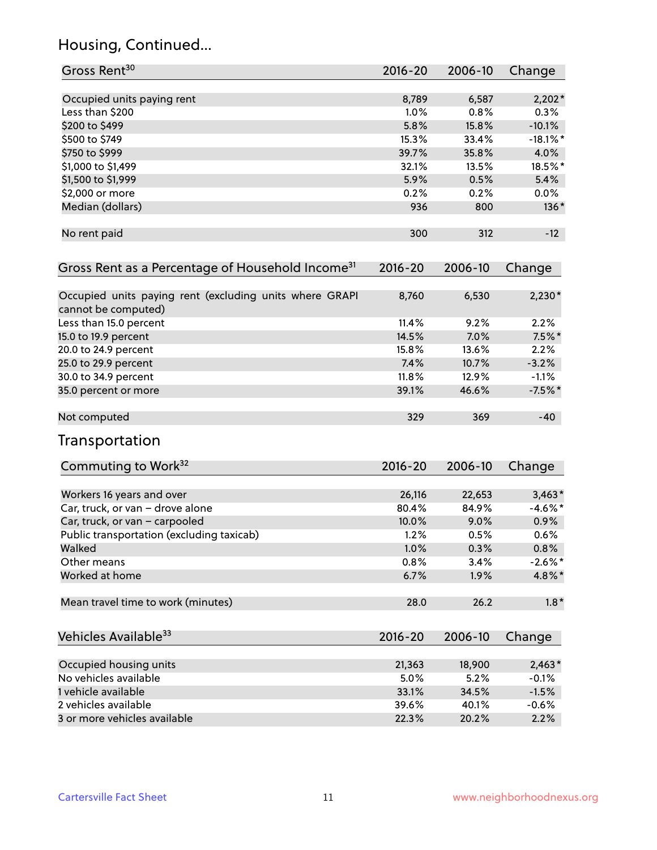## Housing, Continued...

| Gross Rent <sup>30</sup>                                                       | 2016-20     | 2006-10 | Change      |
|--------------------------------------------------------------------------------|-------------|---------|-------------|
| Occupied units paying rent                                                     | 8,789       | 6,587   | $2,202*$    |
| Less than \$200                                                                | 1.0%        | 0.8%    | 0.3%        |
| \$200 to \$499                                                                 | 5.8%        | 15.8%   | $-10.1%$    |
| \$500 to \$749                                                                 | 15.3%       | 33.4%   | $-18.1\%$ * |
| \$750 to \$999                                                                 | 39.7%       | 35.8%   | 4.0%        |
| \$1,000 to \$1,499                                                             | 32.1%       | 13.5%   | 18.5%*      |
| \$1,500 to \$1,999                                                             | 5.9%        | 0.5%    | 5.4%        |
| \$2,000 or more                                                                | 0.2%        | 0.2%    | $0.0\%$     |
| Median (dollars)                                                               | 936         | 800     | 136*        |
| No rent paid                                                                   | 300         | 312     | $-12$       |
| Gross Rent as a Percentage of Household Income <sup>31</sup>                   | $2016 - 20$ | 2006-10 | Change      |
| Occupied units paying rent (excluding units where GRAPI<br>cannot be computed) | 8,760       | 6,530   | $2,230*$    |
| Less than 15.0 percent                                                         | 11.4%       | 9.2%    | 2.2%        |
| 15.0 to 19.9 percent                                                           | 14.5%       | 7.0%    | $7.5\%$ *   |
| 20.0 to 24.9 percent                                                           | 15.8%       | 13.6%   | 2.2%        |
| 25.0 to 29.9 percent                                                           | 7.4%        | 10.7%   | $-3.2%$     |
| 30.0 to 34.9 percent                                                           | 11.8%       | 12.9%   | $-1.1%$     |
| 35.0 percent or more                                                           | 39.1%       | 46.6%   | $-7.5%$ *   |
| Not computed                                                                   | 329         | 369     | $-40$       |
| Transportation                                                                 |             |         |             |
| Commuting to Work <sup>32</sup>                                                | 2016-20     | 2006-10 | Change      |
| Workers 16 years and over                                                      | 26,116      | 22,653  | $3,463*$    |
| Car, truck, or van - drove alone                                               | 80.4%       | 84.9%   | $-4.6%$ *   |
| Car, truck, or van - carpooled                                                 | 10.0%       | 9.0%    | 0.9%        |
| Public transportation (excluding taxicab)                                      | 1.2%        | 0.5%    | 0.6%        |
| Walked                                                                         | 1.0%        | 0.3%    | 0.8%        |
| Other means                                                                    | 0.8%        | 3.4%    | $-2.6\%$ *  |
| Worked at home                                                                 | 6.7%        | 1.9%    | 4.8%*       |
| Mean travel time to work (minutes)                                             | 28.0        | 26.2    | $1.8*$      |
| Vehicles Available <sup>33</sup>                                               | $2016 - 20$ | 2006-10 | Change      |
| Occupied housing units                                                         | 21,363      | 18,900  | $2,463*$    |
| No vehicles available                                                          | 5.0%        | 5.2%    | $-0.1%$     |
| 1 vehicle available                                                            | 33.1%       | 34.5%   | $-1.5%$     |
| 2 vehicles available                                                           | 39.6%       | 40.1%   | $-0.6%$     |
| 3 or more vehicles available                                                   | 22.3%       | 20.2%   | 2.2%        |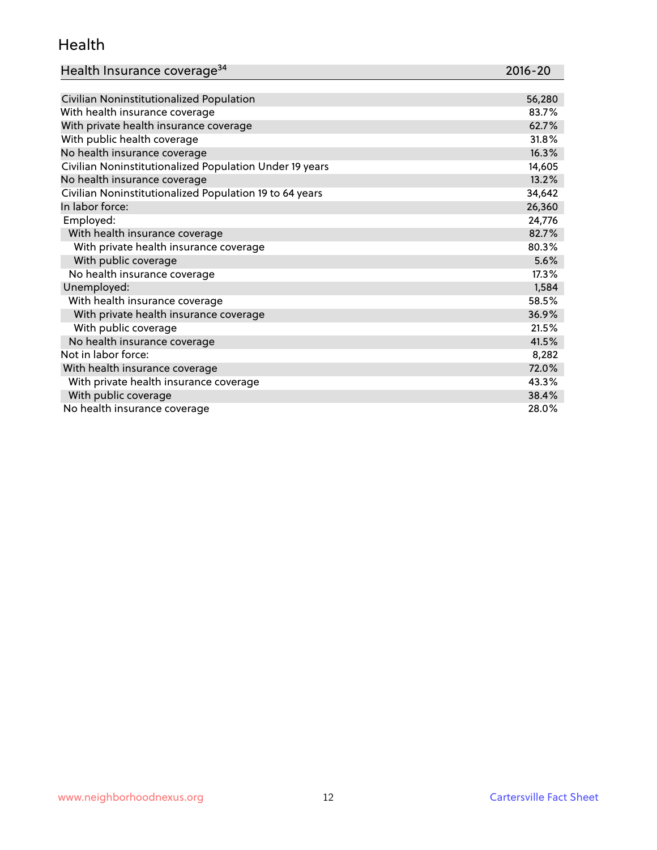#### Health

| Health Insurance coverage <sup>34</sup> | 2016-20 |
|-----------------------------------------|---------|
|-----------------------------------------|---------|

| Civilian Noninstitutionalized Population                | 56,280 |
|---------------------------------------------------------|--------|
| With health insurance coverage                          | 83.7%  |
| With private health insurance coverage                  | 62.7%  |
| With public health coverage                             | 31.8%  |
| No health insurance coverage                            | 16.3%  |
| Civilian Noninstitutionalized Population Under 19 years | 14,605 |
| No health insurance coverage                            | 13.2%  |
| Civilian Noninstitutionalized Population 19 to 64 years | 34,642 |
| In labor force:                                         | 26,360 |
| Employed:                                               | 24,776 |
| With health insurance coverage                          | 82.7%  |
| With private health insurance coverage                  | 80.3%  |
| With public coverage                                    | 5.6%   |
| No health insurance coverage                            | 17.3%  |
| Unemployed:                                             | 1,584  |
| With health insurance coverage                          | 58.5%  |
| With private health insurance coverage                  | 36.9%  |
| With public coverage                                    | 21.5%  |
| No health insurance coverage                            | 41.5%  |
| Not in labor force:                                     | 8,282  |
| With health insurance coverage                          | 72.0%  |
| With private health insurance coverage                  | 43.3%  |
| With public coverage                                    | 38.4%  |
| No health insurance coverage                            | 28.0%  |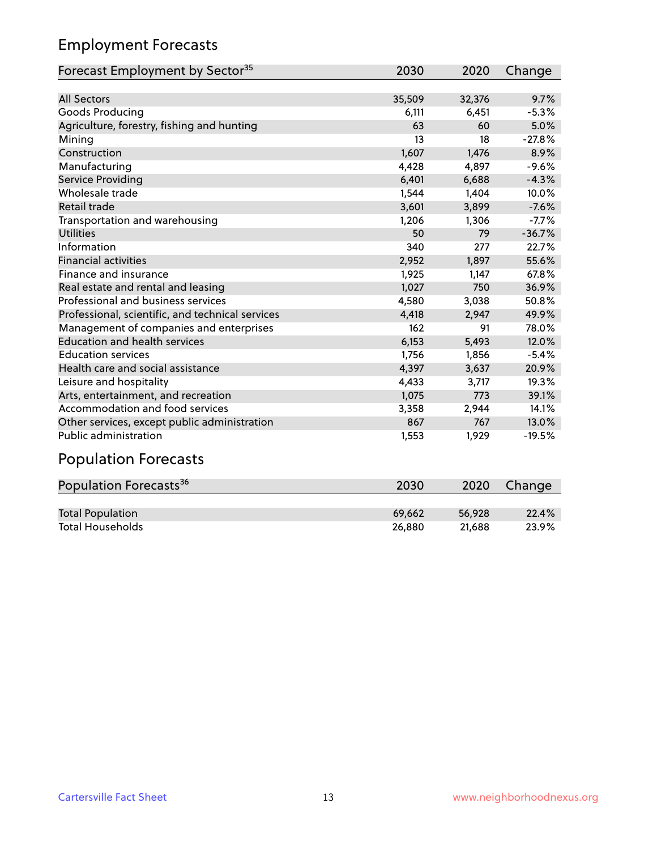## Employment Forecasts

| Forecast Employment by Sector <sup>35</sup>      | 2030   | 2020   | Change   |
|--------------------------------------------------|--------|--------|----------|
|                                                  |        |        |          |
| <b>All Sectors</b>                               | 35,509 | 32,376 | 9.7%     |
| Goods Producing                                  | 6,111  | 6,451  | $-5.3%$  |
| Agriculture, forestry, fishing and hunting       | 63     | 60     | 5.0%     |
| Mining                                           | 13     | 18     | $-27.8%$ |
| Construction                                     | 1,607  | 1,476  | 8.9%     |
| Manufacturing                                    | 4,428  | 4,897  | $-9.6%$  |
| Service Providing                                | 6,401  | 6,688  | $-4.3%$  |
| Wholesale trade                                  | 1,544  | 1,404  | 10.0%    |
| Retail trade                                     | 3,601  | 3,899  | $-7.6%$  |
| Transportation and warehousing                   | 1,206  | 1,306  | $-7.7%$  |
| <b>Utilities</b>                                 | 50     | 79     | $-36.7%$ |
| Information                                      | 340    | 277    | 22.7%    |
| <b>Financial activities</b>                      | 2,952  | 1,897  | 55.6%    |
| Finance and insurance                            | 1,925  | 1,147  | 67.8%    |
| Real estate and rental and leasing               | 1,027  | 750    | 36.9%    |
| Professional and business services               | 4,580  | 3,038  | 50.8%    |
| Professional, scientific, and technical services | 4,418  | 2,947  | 49.9%    |
| Management of companies and enterprises          | 162    | 91     | 78.0%    |
| <b>Education and health services</b>             | 6,153  | 5,493  | 12.0%    |
| <b>Education services</b>                        | 1,756  | 1,856  | $-5.4%$  |
| Health care and social assistance                | 4,397  | 3,637  | 20.9%    |
| Leisure and hospitality                          | 4,433  | 3,717  | 19.3%    |
| Arts, entertainment, and recreation              | 1,075  | 773    | 39.1%    |
| Accommodation and food services                  | 3,358  | 2,944  | 14.1%    |
| Other services, except public administration     | 867    | 767    | 13.0%    |
| <b>Public administration</b>                     | 1,553  | 1,929  | $-19.5%$ |

# Population Forecasts

| Population Forecasts <sup>36</sup> | 2030   | 2020   | Change |
|------------------------------------|--------|--------|--------|
|                                    |        |        |        |
| <b>Total Population</b>            | 69.662 | 56.928 | 22.4%  |
| <b>Total Households</b>            | 26.880 | 21.688 | 23.9%  |